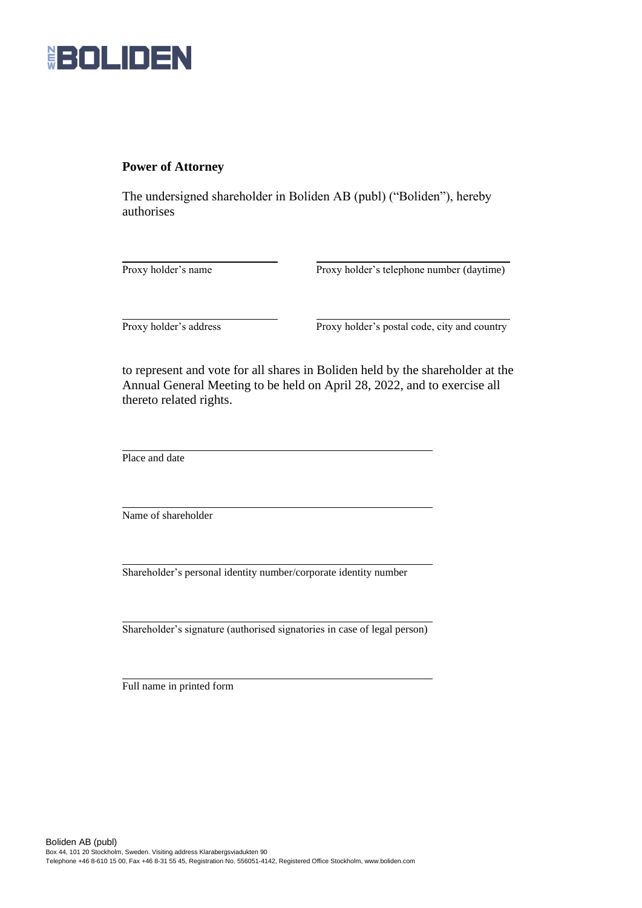

## **Power of Attorney**

The undersigned shareholder in Boliden AB (publ) ("Boliden"), hereby authorises

Proxy holder's name Proxy holder's telephone number (daytime)

Proxy holder's address Proxy holder's postal code, city and country

to represent and vote for all shares in Boliden held by the shareholder at the Annual General Meeting to be held on April 28, 2022, and to exercise all thereto related rights.

Place and date

Name of shareholder

Shareholder's personal identity number/corporate identity number

Shareholder's signature (authorised signatories in case of legal person)

Full name in printed form